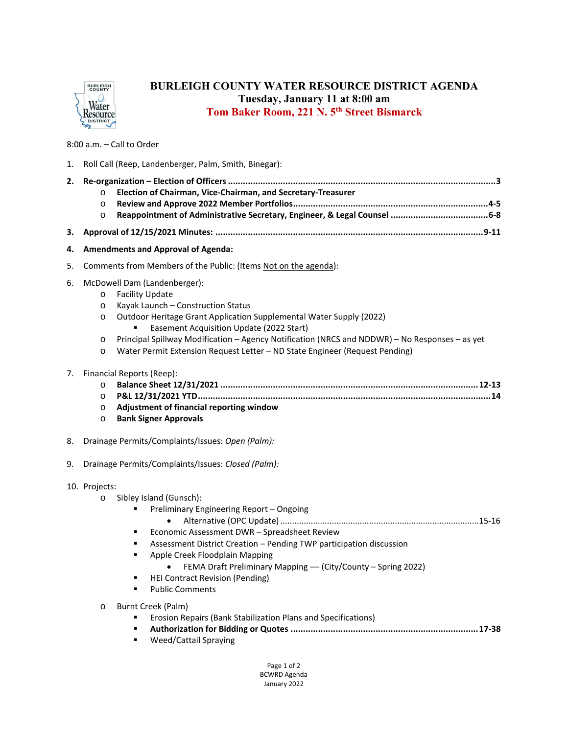

## **BURLEIGH COUNTY WATER RESOURCE DISTRICT AGENDA Tuesday, January 11 at 8:00 am Tom Baker Room, 221 N. 5th Street Bismarck**

## 8:00 a.m. – Call to Order

| 1. | Roll Call (Reep, Landenberger, Palm, Smith, Binegar): |                                                                                                                                                                                                                                                                                                                                                                                                                                                                                                                             |  |
|----|-------------------------------------------------------|-----------------------------------------------------------------------------------------------------------------------------------------------------------------------------------------------------------------------------------------------------------------------------------------------------------------------------------------------------------------------------------------------------------------------------------------------------------------------------------------------------------------------------|--|
| 2. | $\circ$<br>$\circ$<br>$\circ$                         | Election of Chairman, Vice-Chairman, and Secretary-Treasurer                                                                                                                                                                                                                                                                                                                                                                                                                                                                |  |
| З. |                                                       |                                                                                                                                                                                                                                                                                                                                                                                                                                                                                                                             |  |
| 4. | <b>Amendments and Approval of Agenda:</b>             |                                                                                                                                                                                                                                                                                                                                                                                                                                                                                                                             |  |
| 5. |                                                       | Comments from Members of the Public: (Items Not on the agenda):                                                                                                                                                                                                                                                                                                                                                                                                                                                             |  |
| 6. | $\circ$<br>$\circ$<br>O<br>$\circ$<br>$\circ$         | McDowell Dam (Landenberger):<br><b>Facility Update</b><br>Kayak Launch - Construction Status<br>Outdoor Heritage Grant Application Supplemental Water Supply (2022)<br>Easement Acquisition Update (2022 Start)<br>Principal Spillway Modification - Agency Notification (NRCS and NDDWR) - No Responses - as yet<br>Water Permit Extension Request Letter - ND State Engineer (Request Pending)                                                                                                                            |  |
| 7. | $\circ$<br>$\circ$<br>$\circ$<br>$\circ$              | Financial Reports (Reep):<br>Adjustment of financial reporting window<br><b>Bank Signer Approvals</b>                                                                                                                                                                                                                                                                                                                                                                                                                       |  |
| 8. | Drainage Permits/Complaints/Issues: Open (Palm):      |                                                                                                                                                                                                                                                                                                                                                                                                                                                                                                                             |  |
| 9. | Drainage Permits/Complaints/Issues: Closed (Palm):    |                                                                                                                                                                                                                                                                                                                                                                                                                                                                                                                             |  |
|    | 10. Projects:<br>$\circ$<br>$\circ$                   | Sibley Island (Gunsch):<br>Preliminary Engineering Report - Ongoing<br>٠<br>Economic Assessment DWR - Spreadsheet Review<br>٠<br>Assessment District Creation - Pending TWP participation discussion<br>٠<br>Apple Creek Floodplain Mapping<br>٠<br>FEMA Draft Preliminary Mapping - (City/County - Spring 2022)<br><b>HEI Contract Revision (Pending)</b><br><b>Public Comments</b><br>Burnt Creek (Palm)<br>Erosion Repairs (Bank Stabilization Plans and Specifications)<br>٠<br>Weed/Cattail Spraying<br>$\blacksquare$ |  |

Page 1 of 2 BCWRD Agenda January 2022